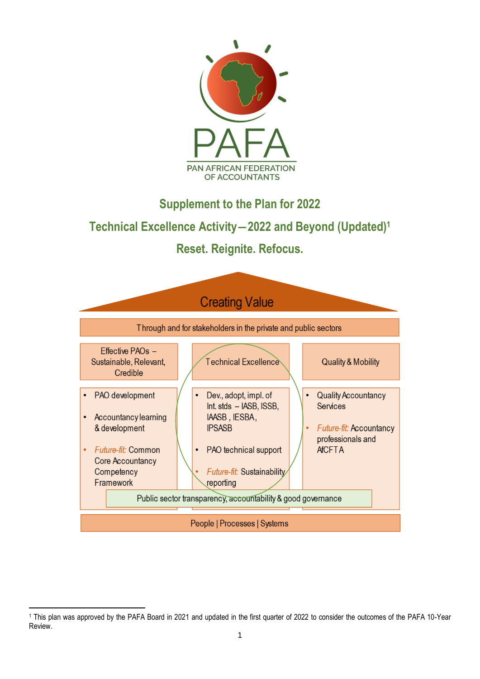

**Supplement to the Plan for 2022**

# **Technical Excellence Activity―2022 and Beyond (Updated)<sup>1</sup>**

**Reset. Reignite. Refocus.**



<sup>1</sup> This plan was approved by the PAFA Board in 2021 and updated in the first quarter of 2022 to consider the outcomes of the PAFA 10-Year Review.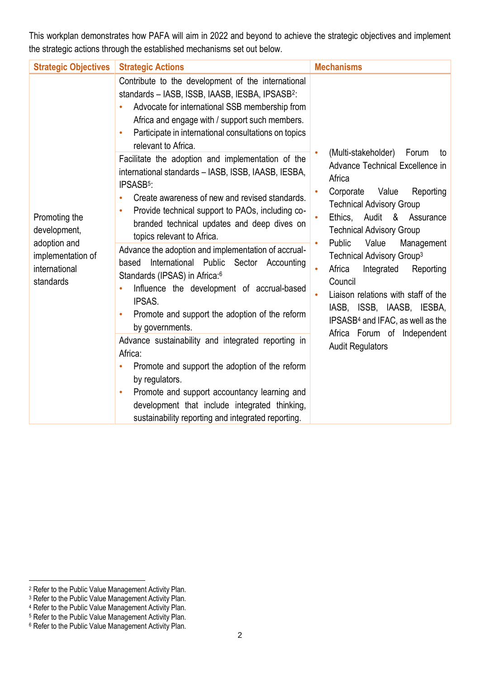This workplan demonstrates how PAFA will aim in 2022 and beyond to achieve the strategic objectives and implement the strategic actions through the established mechanisms set out below.

| <b>Strategic Objectives</b>                                                                      | <b>Strategic Actions</b>                                                                                                                                                                                                                                                                                                                                                                                                                                                                                                                                                                                                                                                                                                                                                                                                                                                                                                                                      | <b>Mechanisms</b>                                                                                                                                                                                                                                                                                                                                                                                                                                                                                                                                          |
|--------------------------------------------------------------------------------------------------|---------------------------------------------------------------------------------------------------------------------------------------------------------------------------------------------------------------------------------------------------------------------------------------------------------------------------------------------------------------------------------------------------------------------------------------------------------------------------------------------------------------------------------------------------------------------------------------------------------------------------------------------------------------------------------------------------------------------------------------------------------------------------------------------------------------------------------------------------------------------------------------------------------------------------------------------------------------|------------------------------------------------------------------------------------------------------------------------------------------------------------------------------------------------------------------------------------------------------------------------------------------------------------------------------------------------------------------------------------------------------------------------------------------------------------------------------------------------------------------------------------------------------------|
|                                                                                                  | Contribute to the development of the international<br>standards - IASB, ISSB, IAASB, IESBA, IPSASB <sup>2</sup> :<br>Advocate for international SSB membership from<br>Africa and engage with / support such members.<br>Participate in international consultations on topics<br>$\bullet$<br>relevant to Africa.                                                                                                                                                                                                                                                                                                                                                                                                                                                                                                                                                                                                                                             |                                                                                                                                                                                                                                                                                                                                                                                                                                                                                                                                                            |
| Promoting the<br>development,<br>adoption and<br>implementation of<br>international<br>standards | Facilitate the adoption and implementation of the<br>international standards - IASB, ISSB, IAASB, IESBA,<br>IPSASB <sup>5</sup> :<br>Create awareness of new and revised standards.<br>$\bullet$<br>Provide technical support to PAOs, including co-<br>$\bullet$<br>branded technical updates and deep dives on<br>topics relevant to Africa.<br>Advance the adoption and implementation of accrual-<br>International Public Sector Accounting<br>based<br>Standards (IPSAS) in Africa: <sup>6</sup><br>Influence the development of accrual-based<br>IPSAS.<br>Promote and support the adoption of the reform<br>٠<br>by governments.<br>Advance sustainability and integrated reporting in<br>Africa:<br>Promote and support the adoption of the reform<br>$\bullet$<br>by regulators.<br>Promote and support accountancy learning and<br>$\bullet$<br>development that include integrated thinking,<br>sustainability reporting and integrated reporting. | (Multi-stakeholder) Forum<br>to<br>Advance Technical Excellence in<br>Africa<br>Corporate<br>Value<br>Reporting<br><b>Technical Advisory Group</b><br>Audit<br>Ethics,<br>& Assurance<br><b>Technical Advisory Group</b><br>Public<br>Value<br>Management<br>$\bullet$<br>Technical Advisory Group <sup>3</sup><br>Africa<br>Integrated<br>Reporting<br>Council<br>Liaison relations with staff of the<br>$\bullet$<br>IASB, ISSB, IAASB, IESBA,<br>IPSASB <sup>4</sup> and IFAC, as well as the<br>Africa Forum of Independent<br><b>Audit Regulators</b> |

<sup>2</sup> Refer to the Public Value Management Activity Plan.

<sup>&</sup>lt;sup>3</sup> Refer to the Public Value Management Activity Plan.

<sup>4</sup> Refer to the Public Value Management Activity Plan.

<sup>5</sup> Refer to the Public Value Management Activity Plan.

<sup>&</sup>lt;sup>6</sup> Refer to the Public Value Management Activity Plan.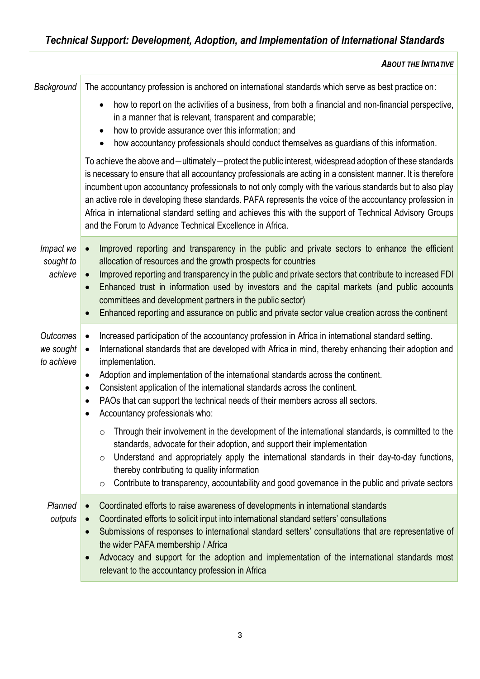| Background                          | The accountancy profession is anchored on international standards which serve as best practice on:                                                                                                                                                                                                                                                                                                                                                                                                                                                                                                                      |  |  |  |
|-------------------------------------|-------------------------------------------------------------------------------------------------------------------------------------------------------------------------------------------------------------------------------------------------------------------------------------------------------------------------------------------------------------------------------------------------------------------------------------------------------------------------------------------------------------------------------------------------------------------------------------------------------------------------|--|--|--|
|                                     | how to report on the activities of a business, from both a financial and non-financial perspective,<br>in a manner that is relevant, transparent and comparable;<br>how to provide assurance over this information; and<br>$\bullet$<br>how accountancy professionals should conduct themselves as guardians of this information.                                                                                                                                                                                                                                                                                       |  |  |  |
|                                     | To achieve the above and —ultimately—protect the public interest, widespread adoption of these standards<br>is necessary to ensure that all accountancy professionals are acting in a consistent manner. It is therefore<br>incumbent upon accountancy professionals to not only comply with the various standards but to also play<br>an active role in developing these standards. PAFA represents the voice of the accountancy profession in<br>Africa in international standard setting and achieves this with the support of Technical Advisory Groups<br>and the Forum to Advance Technical Excellence in Africa. |  |  |  |
| Impact we<br>sought to<br>achieve   | Improved reporting and transparency in the public and private sectors to enhance the efficient<br>allocation of resources and the growth prospects for countries<br>Improved reporting and transparency in the public and private sectors that contribute to increased FDI<br>$\bullet$<br>Enhanced trust in information used by investors and the capital markets (and public accounts<br>committees and development partners in the public sector)<br>Enhanced reporting and assurance on public and private sector value creation across the continent                                                               |  |  |  |
| Outcomes<br>we sought<br>to achieve | Increased participation of the accountancy profession in Africa in international standard setting.<br>$\bullet$<br>International standards that are developed with Africa in mind, thereby enhancing their adoption and<br>$\bullet$<br>implementation.<br>Adoption and implementation of the international standards across the continent.<br>$\bullet$<br>Consistent application of the international standards across the continent.<br>$\bullet$<br>PAOs that can support the technical needs of their members across all sectors.<br>٠<br>Accountancy professionals who:<br>٠                                      |  |  |  |
|                                     | Through their involvement in the development of the international standards, is committed to the<br>$\circ$<br>standards, advocate for their adoption, and support their implementation<br>Understand and appropriately apply the international standards in their day-to-day functions,<br>O<br>thereby contributing to quality information<br>Contribute to transparency, accountability and good governance in the public and private sectors<br>$\circ$                                                                                                                                                             |  |  |  |
| Planned<br>outputs                  | Coordinated efforts to raise awareness of developments in international standards<br>Coordinated efforts to solicit input into international standard setters' consultations<br>Submissions of responses to international standard setters' consultations that are representative of<br>$\bullet$<br>the wider PAFA membership / Africa<br>Advocacy and support for the adoption and implementation of the international standards most<br>$\bullet$<br>relevant to the accountancy profession in Africa                                                                                                                |  |  |  |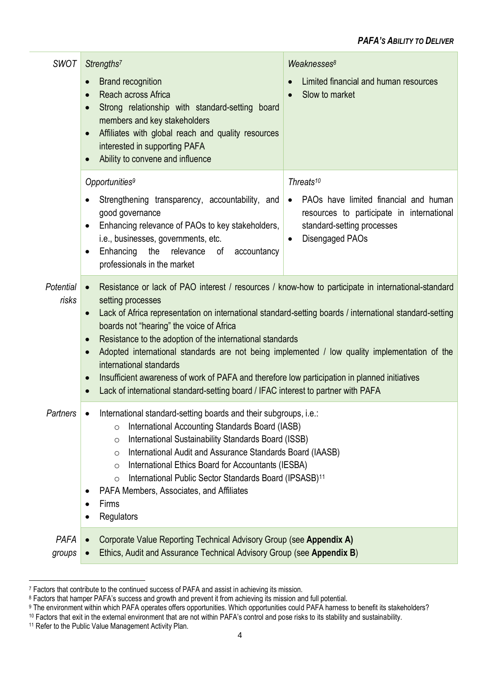## *PAFA'S ABILITY TO DELIVER*

| <b>SWOT</b>    | Weaknesses <sup>8</sup><br>Strengths <sup>7</sup>                                                                                                                                                                                                                                                                                                                                                                                                                                                               |                                                                                                                                                               |  |  |
|----------------|-----------------------------------------------------------------------------------------------------------------------------------------------------------------------------------------------------------------------------------------------------------------------------------------------------------------------------------------------------------------------------------------------------------------------------------------------------------------------------------------------------------------|---------------------------------------------------------------------------------------------------------------------------------------------------------------|--|--|
|                | <b>Brand recognition</b><br>$\bullet$<br>Reach across Africa<br>$\bullet$<br>Strong relationship with standard-setting board<br>$\bullet$<br>members and key stakeholders<br>Affiliates with global reach and quality resources<br>$\bullet$<br>interested in supporting PAFA<br>Ability to convene and influence<br>$\bullet$                                                                                                                                                                                  | Limited financial and human resources<br>Slow to market                                                                                                       |  |  |
|                | Threats <sup>10</sup><br>Opportunities <sup>9</sup>                                                                                                                                                                                                                                                                                                                                                                                                                                                             |                                                                                                                                                               |  |  |
|                | Strengthening transparency, accountability, and<br>$\bullet$<br>good governance<br>Enhancing relevance of PAOs to key stakeholders,<br>$\bullet$<br>i.e., businesses, governments, etc.<br>Enhancing the<br>relevance of<br>accountancy<br>$\bullet$<br>professionals in the market                                                                                                                                                                                                                             | PAOs have limited financial and human<br>$\bullet$<br>resources to participate in international<br>standard-setting processes<br>Disengaged PAOs<br>$\bullet$ |  |  |
| Potential      | Resistance or lack of PAO interest / resources / know-how to participate in international-standard<br>$\bullet$<br>setting processes<br>Lack of Africa representation on international standard-setting boards / international standard-setting<br>$\bullet$<br>boards not "hearing" the voice of Africa<br>Resistance to the adoption of the international standards<br>$\bullet$<br>Adopted international standards are not being implemented / low quality implementation of the<br>$\bullet$                |                                                                                                                                                               |  |  |
| risks          |                                                                                                                                                                                                                                                                                                                                                                                                                                                                                                                 |                                                                                                                                                               |  |  |
|                |                                                                                                                                                                                                                                                                                                                                                                                                                                                                                                                 |                                                                                                                                                               |  |  |
|                |                                                                                                                                                                                                                                                                                                                                                                                                                                                                                                                 |                                                                                                                                                               |  |  |
|                | international standards<br>Insufficient awareness of work of PAFA and therefore low participation in planned initiatives<br>$\bullet$                                                                                                                                                                                                                                                                                                                                                                           |                                                                                                                                                               |  |  |
|                | Lack of international standard-setting board / IFAC interest to partner with PAFA<br>$\bullet$                                                                                                                                                                                                                                                                                                                                                                                                                  |                                                                                                                                                               |  |  |
| Partners       | International standard-setting boards and their subgroups, i.e.:<br>International Accounting Standards Board (IASB)<br>$\circ$<br>International Sustainability Standards Board (ISSB)<br>$\circ$<br>International Audit and Assurance Standards Board (IAASB)<br>$\circ$<br>International Ethics Board for Accountants (IESBA)<br>$\circ$<br>International Public Sector Standards Board (IPSASB) <sup>11</sup><br>$\circ$<br>PAFA Members, Associates, and Affiliates<br>٠<br>Firms<br>$\bullet$<br>Regulators |                                                                                                                                                               |  |  |
| PAFA<br>groups | Corporate Value Reporting Technical Advisory Group (see Appendix A)<br>$\bullet$<br>Ethics, Audit and Assurance Technical Advisory Group (see Appendix B)                                                                                                                                                                                                                                                                                                                                                       |                                                                                                                                                               |  |  |

<sup>7</sup> Factors that contribute to the continued success of PAFA and assist in achieving its mission.

<sup>8</sup> Factors that hamper PAFA's success and growth and prevent it from achieving its mission and full potential.

<sup>9</sup> The environment within which PAFA operates offers opportunities. Which opportunities could PAFA harness to benefit its stakeholders?

<sup>&</sup>lt;sup>10</sup> Factors that exit in the external environment that are not within PAFA's control and pose risks to its stability and sustainability.

<sup>&</sup>lt;sup>11</sup> Refer to the Public Value Management Activity Plan.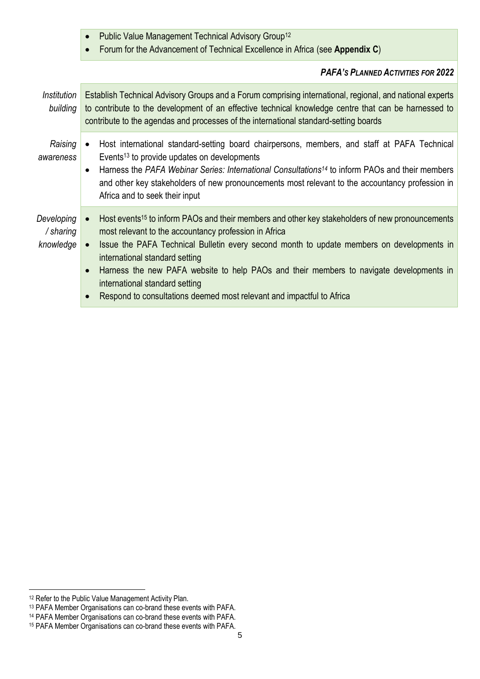|  |  |  | Public Value Management Technical Advisory Group <sup>12</sup> |  |  |  |
|--|--|--|----------------------------------------------------------------|--|--|--|
|--|--|--|----------------------------------------------------------------|--|--|--|

• Forum for the Advancement of Technical Excellence in Africa (see **Appendix C**)

## *PAFA'S PLANNED ACTIVITIES FOR 2022*

| Institution<br>building              | Establish Technical Advisory Groups and a Forum comprising international, regional, and national experts<br>to contribute to the development of an effective technical knowledge centre that can be harnessed to<br>contribute to the agendas and processes of the international standard-setting boards                                                                                                                                                                                                                            |  |
|--------------------------------------|-------------------------------------------------------------------------------------------------------------------------------------------------------------------------------------------------------------------------------------------------------------------------------------------------------------------------------------------------------------------------------------------------------------------------------------------------------------------------------------------------------------------------------------|--|
| Raising<br>awareness                 | Host international standard-setting board chairpersons, members, and staff at PAFA Technical<br>Events <sup>13</sup> to provide updates on developments<br>Harness the PAFA Webinar Series: International Consultations <sup>14</sup> to inform PAOs and their members<br>$\bullet$<br>and other key stakeholders of new pronouncements most relevant to the accountancy profession in<br>Africa and to seek their input                                                                                                            |  |
| Developing<br>/ sharing<br>knowledge | Host events <sup>15</sup> to inform PAOs and their members and other key stakeholders of new pronouncements<br>$\bullet$<br>most relevant to the accountancy profession in Africa<br>Issue the PAFA Technical Bulletin every second month to update members on developments in<br>international standard setting<br>Harness the new PAFA website to help PAOs and their members to navigate developments in<br>$\bullet$<br>international standard setting<br>Respond to consultations deemed most relevant and impactful to Africa |  |

<sup>12</sup> Refer to the Public Value Management Activity Plan.

<sup>13</sup> PAFA Member Organisations can co-brand these events with PAFA.

<sup>14</sup> PAFA Member Organisations can co-brand these events with PAFA.

<sup>15</sup> PAFA Member Organisations can co-brand these events with PAFA.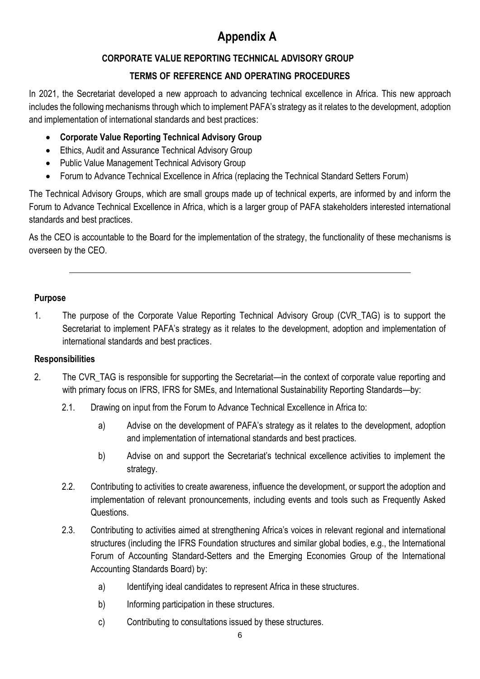# **Appendix A**

# **CORPORATE VALUE REPORTING TECHNICAL ADVISORY GROUP**

# **TERMS OF REFERENCE AND OPERATING PROCEDURES**

In 2021, the Secretariat developed a new approach to advancing technical excellence in Africa. This new approach includes the following mechanisms through which to implement PAFA's strategy as it relates to the development, adoption and implementation of international standards and best practices:

- **Corporate Value Reporting Technical Advisory Group**
- Ethics, Audit and Assurance Technical Advisory Group
- Public Value Management Technical Advisory Group
- Forum to Advance Technical Excellence in Africa (replacing the Technical Standard Setters Forum)

The Technical Advisory Groups, which are small groups made up of technical experts, are informed by and inform the Forum to Advance Technical Excellence in Africa, which is a larger group of PAFA stakeholders interested international standards and best practices.

As the CEO is accountable to the Board for the implementation of the strategy, the functionality of these mechanisms is overseen by the CEO.

#### **Purpose**

1. The purpose of the Corporate Value Reporting Technical Advisory Group (CVR\_TAG) is to support the Secretariat to implement PAFA's strategy as it relates to the development, adoption and implementation of international standards and best practices.

## **Responsibilities**

- 2. The CVR TAG is responsible for supporting the Secretariat—in the context of corporate value reporting and with primary focus on IFRS, IFRS for SMEs, and International Sustainability Reporting Standards—by:
	- 2.1. Drawing on input from the Forum to Advance Technical Excellence in Africa to:
		- a) Advise on the development of PAFA's strategy as it relates to the development, adoption and implementation of international standards and best practices.
		- b) Advise on and support the Secretariat's technical excellence activities to implement the strategy.
	- 2.2. Contributing to activities to create awareness, influence the development, or support the adoption and implementation of relevant pronouncements, including events and tools such as Frequently Asked Questions.
	- 2.3. Contributing to activities aimed at strengthening Africa's voices in relevant regional and international structures (including the IFRS Foundation structures and similar global bodies, e.g., the International Forum of Accounting Standard-Setters and the Emerging Economies Group of the International Accounting Standards Board) by:
		- a) Identifying ideal candidates to represent Africa in these structures.
		- b) Informing participation in these structures.
		- c) Contributing to consultations issued by these structures.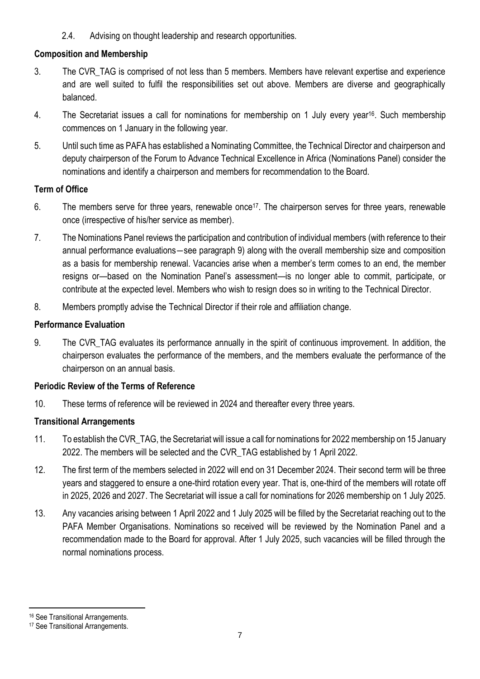2.4. Advising on thought leadership and research opportunities.

## **Composition and Membership**

- 3. The CVR\_TAG is comprised of not less than 5 members. Members have relevant expertise and experience and are well suited to fulfil the responsibilities set out above. Members are diverse and geographically balanced.
- 4. The Secretariat issues a call for nominations for membership on 1 July every year16. Such membership commences on 1 January in the following year.
- 5. Until such time as PAFA has established a Nominating Committee, the Technical Director and chairperson and deputy chairperson of the Forum to Advance Technical Excellence in Africa (Nominations Panel) consider the nominations and identify a chairperson and members for recommendation to the Board.

## **Term of Office**

- 6. The members serve for three years, renewable once<sup>17</sup>. The chairperson serves for three years, renewable once (irrespective of his/her service as member).
- 7. The Nominations Panel reviews the participation and contribution of individual members (with reference to their annual performance evaluations―see paragraph 9) along with the overall membership size and composition as a basis for membership renewal. Vacancies arise when a member's term comes to an end, the member resigns or—based on the Nomination Panel's assessment—is no longer able to commit, participate, or contribute at the expected level. Members who wish to resign does so in writing to the Technical Director.
- 8. Members promptly advise the Technical Director if their role and affiliation change.

## **Performance Evaluation**

9. The CVR TAG evaluates its performance annually in the spirit of continuous improvement. In addition, the chairperson evaluates the performance of the members, and the members evaluate the performance of the chairperson on an annual basis.

## **Periodic Review of the Terms of Reference**

10. These terms of reference will be reviewed in 2024 and thereafter every three years.

# **Transitional Arrangements**

- 11. To establish the CVR\_TAG, the Secretariat will issue a call for nominations for 2022 membership on 15 January 2022. The members will be selected and the CVR\_TAG established by 1 April 2022.
- 12. The first term of the members selected in 2022 will end on 31 December 2024. Their second term will be three years and staggered to ensure a one-third rotation every year. That is, one-third of the members will rotate off in 2025, 2026 and 2027. The Secretariat will issue a call for nominations for 2026 membership on 1 July 2025.
- 13. Any vacancies arising between 1 April 2022 and 1 July 2025 will be filled by the Secretariat reaching out to the PAFA Member Organisations. Nominations so received will be reviewed by the Nomination Panel and a recommendation made to the Board for approval. After 1 July 2025, such vacancies will be filled through the normal nominations process.

<sup>16</sup> See Transitional Arrangements.

<sup>17</sup> See Transitional Arrangements.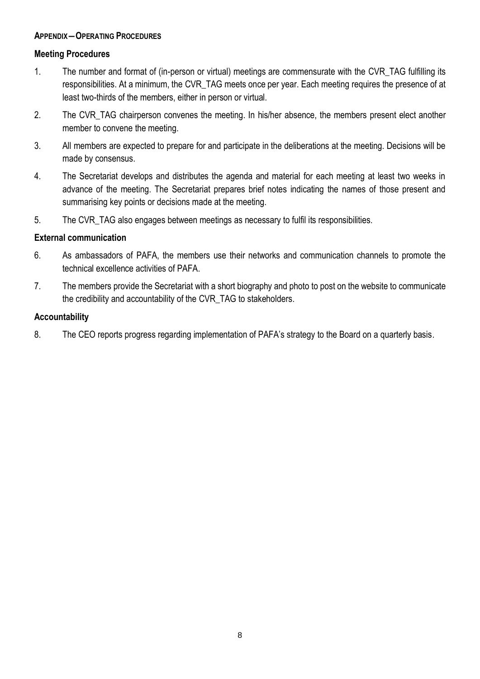#### **APPENDIX―OPERATING PROCEDURES**

#### **Meeting Procedures**

- 1. The number and format of (in-person or virtual) meetings are commensurate with the CVR\_TAG fulfilling its responsibilities. At a minimum, the CVR\_TAG meets once per year. Each meeting requires the presence of at least two-thirds of the members, either in person or virtual.
- 2. The CVR TAG chairperson convenes the meeting. In his/her absence, the members present elect another member to convene the meeting.
- 3. All members are expected to prepare for and participate in the deliberations at the meeting. Decisions will be made by consensus.
- 4. The Secretariat develops and distributes the agenda and material for each meeting at least two weeks in advance of the meeting. The Secretariat prepares brief notes indicating the names of those present and summarising key points or decisions made at the meeting.
- 5. The CVR\_TAG also engages between meetings as necessary to fulfil its responsibilities.

#### **External communication**

- 6. As ambassadors of PAFA, the members use their networks and communication channels to promote the technical excellence activities of PAFA.
- 7. The members provide the Secretariat with a short biography and photo to post on the website to communicate the credibility and accountability of the CVR\_TAG to stakeholders.

#### **Accountability**

8. The CEO reports progress regarding implementation of PAFA's strategy to the Board on a quarterly basis.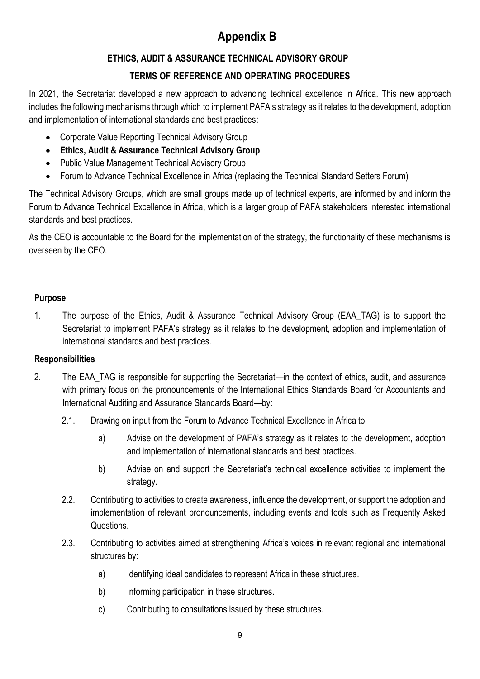# **Appendix B**

# **ETHICS, AUDIT & ASSURANCE TECHNICAL ADVISORY GROUP**

# **TERMS OF REFERENCE AND OPERATING PROCEDURES**

In 2021, the Secretariat developed a new approach to advancing technical excellence in Africa. This new approach includes the following mechanisms through which to implement PAFA's strategy as it relates to the development, adoption and implementation of international standards and best practices:

- Corporate Value Reporting Technical Advisory Group
- **Ethics, Audit & Assurance Technical Advisory Group**
- Public Value Management Technical Advisory Group
- Forum to Advance Technical Excellence in Africa (replacing the Technical Standard Setters Forum)

The Technical Advisory Groups, which are small groups made up of technical experts, are informed by and inform the Forum to Advance Technical Excellence in Africa, which is a larger group of PAFA stakeholders interested international standards and best practices.

As the CEO is accountable to the Board for the implementation of the strategy, the functionality of these mechanisms is overseen by the CEO.

## **Purpose**

1. The purpose of the Ethics, Audit & Assurance Technical Advisory Group (EAA\_TAG) is to support the Secretariat to implement PAFA's strategy as it relates to the development, adoption and implementation of international standards and best practices.

# **Responsibilities**

- 2. The EAA TAG is responsible for supporting the Secretariat—in the context of ethics, audit, and assurance with primary focus on the pronouncements of the International Ethics Standards Board for Accountants and International Auditing and Assurance Standards Board—by:
	- 2.1. Drawing on input from the Forum to Advance Technical Excellence in Africa to:
		- a) Advise on the development of PAFA's strategy as it relates to the development, adoption and implementation of international standards and best practices.
		- b) Advise on and support the Secretariat's technical excellence activities to implement the strategy.
	- 2.2. Contributing to activities to create awareness, influence the development, or support the adoption and implementation of relevant pronouncements, including events and tools such as Frequently Asked Questions.
	- 2.3. Contributing to activities aimed at strengthening Africa's voices in relevant regional and international structures by:
		- a) Identifying ideal candidates to represent Africa in these structures.
		- b) Informing participation in these structures.
		- c) Contributing to consultations issued by these structures.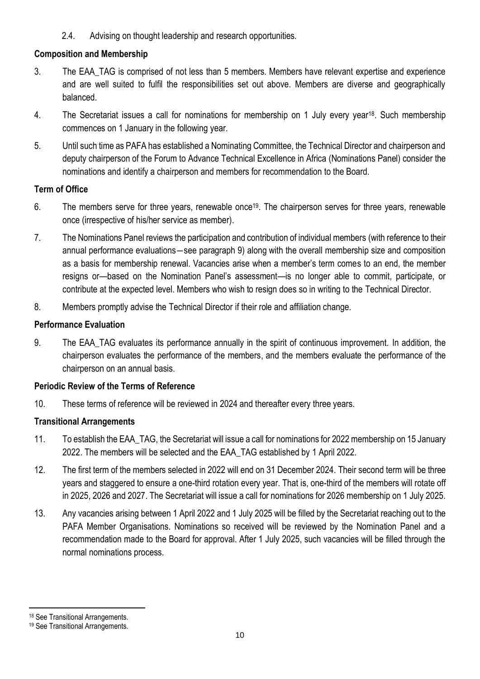2.4. Advising on thought leadership and research opportunities.

## **Composition and Membership**

- 3. The EAA\_TAG is comprised of not less than 5 members. Members have relevant expertise and experience and are well suited to fulfil the responsibilities set out above. Members are diverse and geographically balanced.
- 4. The Secretariat issues a call for nominations for membership on 1 July every year18. Such membership commences on 1 January in the following year.
- 5. Until such time as PAFA has established a Nominating Committee, the Technical Director and chairperson and deputy chairperson of the Forum to Advance Technical Excellence in Africa (Nominations Panel) consider the nominations and identify a chairperson and members for recommendation to the Board.

## **Term of Office**

- 6. The members serve for three years, renewable once<sup>19</sup>. The chairperson serves for three years, renewable once (irrespective of his/her service as member).
- 7. The Nominations Panel reviews the participation and contribution of individual members (with reference to their annual performance evaluations―see paragraph 9) along with the overall membership size and composition as a basis for membership renewal. Vacancies arise when a member's term comes to an end, the member resigns or—based on the Nomination Panel's assessment—is no longer able to commit, participate, or contribute at the expected level. Members who wish to resign does so in writing to the Technical Director.
- 8. Members promptly advise the Technical Director if their role and affiliation change.

## **Performance Evaluation**

9. The EAA\_TAG evaluates its performance annually in the spirit of continuous improvement. In addition, the chairperson evaluates the performance of the members, and the members evaluate the performance of the chairperson on an annual basis.

## **Periodic Review of the Terms of Reference**

10. These terms of reference will be reviewed in 2024 and thereafter every three years.

# **Transitional Arrangements**

- 11. To establish the EAA\_TAG, the Secretariat will issue a call for nominations for 2022 membership on 15 January 2022. The members will be selected and the EAA\_TAG established by 1 April 2022.
- 12. The first term of the members selected in 2022 will end on 31 December 2024. Their second term will be three years and staggered to ensure a one-third rotation every year. That is, one-third of the members will rotate off in 2025, 2026 and 2027. The Secretariat will issue a call for nominations for 2026 membership on 1 July 2025.
- 13. Any vacancies arising between 1 April 2022 and 1 July 2025 will be filled by the Secretariat reaching out to the PAFA Member Organisations. Nominations so received will be reviewed by the Nomination Panel and a recommendation made to the Board for approval. After 1 July 2025, such vacancies will be filled through the normal nominations process.

<sup>18</sup> See Transitional Arrangements.

<sup>19</sup> See Transitional Arrangements.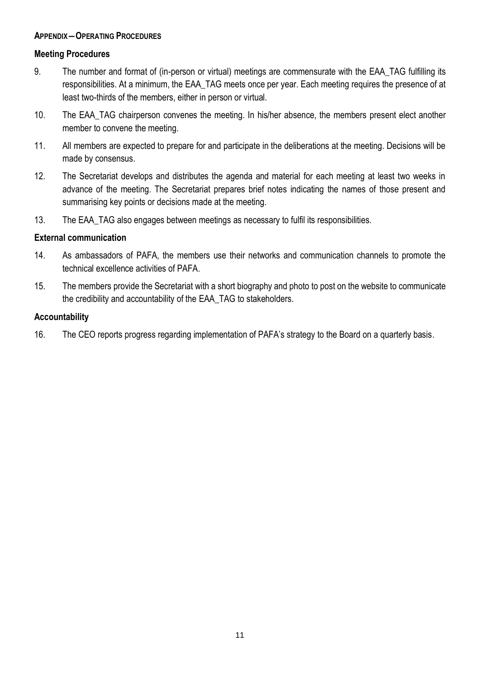#### **APPENDIX―OPERATING PROCEDURES**

#### **Meeting Procedures**

- 9. The number and format of (in-person or virtual) meetings are commensurate with the EAA\_TAG fulfilling its responsibilities. At a minimum, the EAA\_TAG meets once per year. Each meeting requires the presence of at least two-thirds of the members, either in person or virtual.
- 10. The EAA TAG chairperson convenes the meeting. In his/her absence, the members present elect another member to convene the meeting.
- 11. All members are expected to prepare for and participate in the deliberations at the meeting. Decisions will be made by consensus.
- 12. The Secretariat develops and distributes the agenda and material for each meeting at least two weeks in advance of the meeting. The Secretariat prepares brief notes indicating the names of those present and summarising key points or decisions made at the meeting.
- 13. The EAA TAG also engages between meetings as necessary to fulfil its responsibilities.

#### **External communication**

- 14. As ambassadors of PAFA, the members use their networks and communication channels to promote the technical excellence activities of PAFA.
- 15. The members provide the Secretariat with a short biography and photo to post on the website to communicate the credibility and accountability of the EAA\_TAG to stakeholders.

#### **Accountability**

16. The CEO reports progress regarding implementation of PAFA's strategy to the Board on a quarterly basis.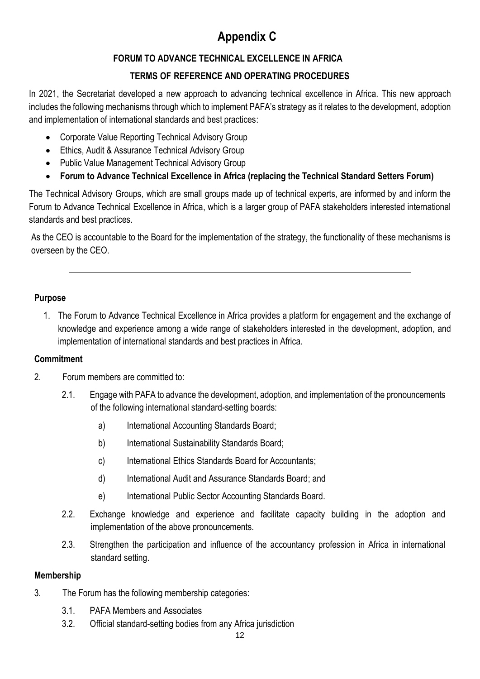# **Appendix C**

# **FORUM TO ADVANCE TECHNICAL EXCELLENCE IN AFRICA**

# **TERMS OF REFERENCE AND OPERATING PROCEDURES**

In 2021, the Secretariat developed a new approach to advancing technical excellence in Africa. This new approach includes the following mechanisms through which to implement PAFA's strategy as it relates to the development, adoption and implementation of international standards and best practices:

- Corporate Value Reporting Technical Advisory Group
- Ethics, Audit & Assurance Technical Advisory Group
- Public Value Management Technical Advisory Group
- **Forum to Advance Technical Excellence in Africa (replacing the Technical Standard Setters Forum)**

The Technical Advisory Groups, which are small groups made up of technical experts, are informed by and inform the Forum to Advance Technical Excellence in Africa, which is a larger group of PAFA stakeholders interested international standards and best practices.

As the CEO is accountable to the Board for the implementation of the strategy, the functionality of these mechanisms is overseen by the CEO.

## **Purpose**

1. The Forum to Advance Technical Excellence in Africa provides a platform for engagement and the exchange of knowledge and experience among a wide range of stakeholders interested in the development, adoption, and implementation of international standards and best practices in Africa.

## **Commitment**

- 2. Forum members are committed to:
	- 2.1. Engage with PAFA to advance the development, adoption, and implementation of the pronouncements of the following international standard-setting boards:
		- a) International Accounting Standards Board;
		- b) International Sustainability Standards Board;
		- c) International Ethics Standards Board for Accountants;
		- d) International Audit and Assurance Standards Board; and
		- e) International Public Sector Accounting Standards Board.
	- 2.2. Exchange knowledge and experience and facilitate capacity building in the adoption and implementation of the above pronouncements.
	- 2.3. Strengthen the participation and influence of the accountancy profession in Africa in international standard setting.

## **Membership**

- 3. The Forum has the following membership categories:
	- 3.1. PAFA Members and Associates
	- 3.2. Official standard-setting bodies from any Africa jurisdiction